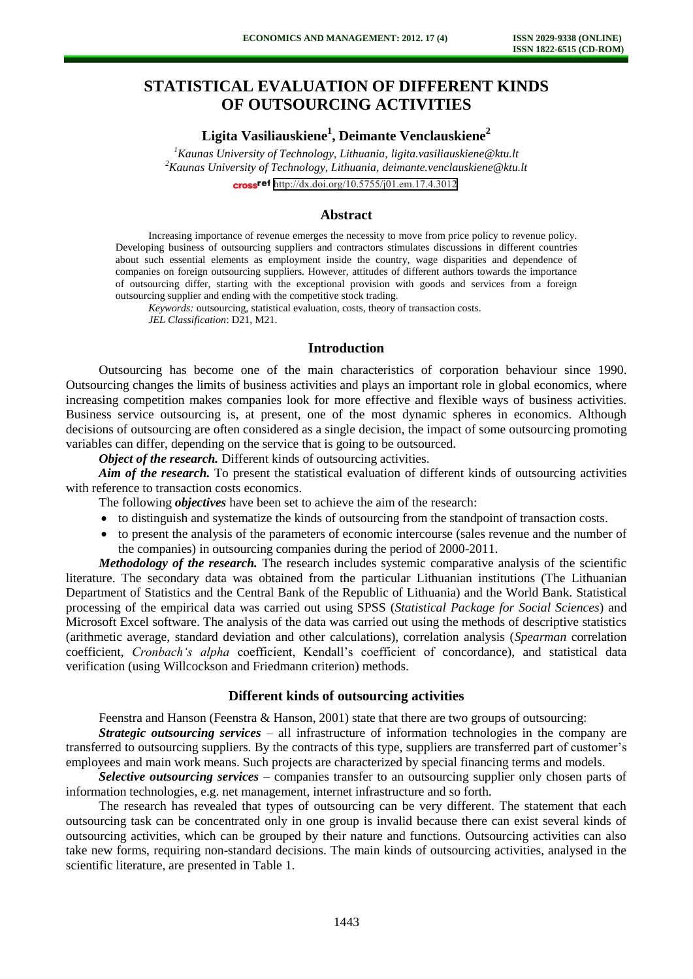# **STATISTICAL EVALUATION OF DIFFERENT KINDS OF OUTSOURCING ACTIVITIES**

## **Ligita Vasiliauskiene<sup>1</sup> , Deimante Venclauskiene<sup>2</sup>**

*<sup>1</sup>Kaunas University of Technology, Lithuania, ligita.vasiliauskiene@ktu.lt <sup>2</sup>Kaunas University of Technology, Lithuania, [deimante.venclauskiene@ktu.lt](mailto:deimante.venclauskiene@ktu.lt)* cross<sup>ref</sup> <http://dx.doi.org/10.5755/j01.em.17.4.3012>

#### **Abstract**

Increasing importance of revenue emerges the necessity to move from price policy to revenue policy. Developing business of outsourcing suppliers and contractors stimulates discussions in different countries about such essential elements as employment inside the country, wage disparities and dependence of companies on foreign outsourcing suppliers. However, attitudes of different authors towards the importance of outsourcing differ, starting with the exceptional provision with goods and services from a foreign outsourcing supplier and ending with the competitive stock trading.

*Keywords:* outsourcing, statistical evaluation, costs, theory of transaction costs. *JEL Classification*: D21, M21.

### **Introduction**

Outsourcing has become one of the main characteristics of corporation behaviour since 1990. Outsourcing changes the limits of business activities and plays an important role in global economics, where increasing competition makes companies look for more effective and flexible ways of business activities. Business service outsourcing is, at present, one of the most dynamic spheres in economics. Although decisions of outsourcing are often considered as a single decision, the impact of some outsourcing promoting variables can differ, depending on the service that is going to be outsourced.

*Object of the research.* Different kinds of outsourcing activities.

*Aim of the research*. To present the statistical evaluation of different kinds of outsourcing activities with reference to transaction costs economics.

The following *objectives* have been set to achieve the aim of the research:

- to distinguish and systematize the kinds of outsourcing from the standpoint of transaction costs.
- to present the analysis of the parameters of economic intercourse (sales revenue and the number of the companies) in outsourcing companies during the period of 2000-2011.

*Methodology of the research.* The research includes systemic comparative analysis of the scientific literature. The secondary data was obtained from the particular Lithuanian institutions (The Lithuanian Department of Statistics and the Central Bank of the Republic of Lithuania) and the World Bank. Statistical processing of the empirical data was carried out using SPSS (*Statistical Package for Social Sciences*) and Microsoft Excel software. The analysis of the data was carried out using the methods of descriptive statistics (arithmetic average, standard deviation and other calculations), correlation analysis (*Spearman* correlation coefficient, *Cronbach's alpha* coefficient, Kendall's coefficient of concordance), and statistical data verification (using Willcockson and Friedmann criterion) methods.

### **Different kinds of outsourcing activities**

Feenstra and Hanson (Feenstra & Hanson, 2001) state that there are two groups of outsourcing:

*Strategic outsourcing services* – all infrastructure of information technologies in the company are transferred to outsourcing suppliers. By the contracts of this type, suppliers are transferred part of customer's employees and main work means. Such projects are characterized by special financing terms and models.

*Selective outsourcing services* – companies transfer to an outsourcing supplier only chosen parts of information technologies, e.g. net management, internet infrastructure and so forth.

The research has revealed that types of outsourcing can be very different. The statement that each outsourcing task can be concentrated only in one group is invalid because there can exist several kinds of outsourcing activities, which can be grouped by their nature and functions. Outsourcing activities can also take new forms, requiring non-standard decisions. The main kinds of outsourcing activities, analysed in the scientific literature, are presented in Table 1.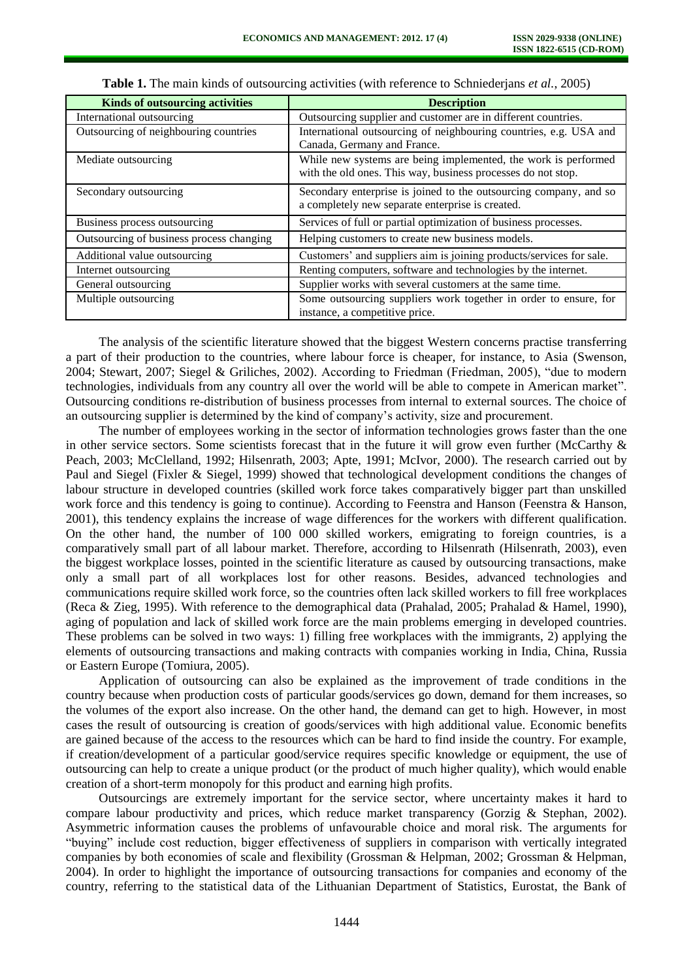| <b>Kinds of outsourcing activities</b>   | <b>Description</b>                                                                                                             |  |  |
|------------------------------------------|--------------------------------------------------------------------------------------------------------------------------------|--|--|
| International outsourcing                | Outsourcing supplier and customer are in different countries.                                                                  |  |  |
| Outsourcing of neighbouring countries    | International outsourcing of neighbouring countries, e.g. USA and<br>Canada, Germany and France.                               |  |  |
| Mediate outsourcing                      | While new systems are being implemented, the work is performed<br>with the old ones. This way, business processes do not stop. |  |  |
| Secondary outsourcing                    | Secondary enterprise is joined to the outsourcing company, and so<br>a completely new separate enterprise is created.          |  |  |
| Business process outsourcing             | Services of full or partial optimization of business processes.                                                                |  |  |
| Outsourcing of business process changing | Helping customers to create new business models.                                                                               |  |  |
| Additional value outsourcing             | Customers' and suppliers aim is joining products/services for sale.                                                            |  |  |
| Internet outsourcing                     | Renting computers, software and technologies by the internet.                                                                  |  |  |
| General outsourcing                      | Supplier works with several customers at the same time.                                                                        |  |  |
| Multiple outsourcing                     | Some outsourcing suppliers work together in order to ensure, for<br>instance, a competitive price.                             |  |  |

| Table 1. The main kinds of outsourcing activities (with reference to Schniederjans et al., 2005) |  |  |  |  |  |
|--------------------------------------------------------------------------------------------------|--|--|--|--|--|
|--------------------------------------------------------------------------------------------------|--|--|--|--|--|

The analysis of the scientific literature showed that the biggest Western concerns practise transferring a part of their production to the countries, where labour force is cheaper, for instance, to Asia (Swenson, 2004; Stewart, 2007; Siegel & Griliches, 2002). According to Friedman (Friedman, 2005), "due to modern technologies, individuals from any country all over the world will be able to compete in American market". Outsourcing conditions re-distribution of business processes from internal to external sources. The choice of an outsourcing supplier is determined by the kind of company's activity, size and procurement.

The number of employees working in the sector of information technologies grows faster than the one in other service sectors. Some scientists forecast that in the future it will grow even further (McCarthy & Peach, 2003; McClelland, 1992; Hilsenrath, 2003; Apte, 1991; McIvor, 2000). The research carried out by Paul and Siegel (Fixler & Siegel, 1999) showed that technological development conditions the changes of labour structure in developed countries (skilled work force takes comparatively bigger part than unskilled work force and this tendency is going to continue). According to Feenstra and Hanson (Feenstra & Hanson, 2001), this tendency explains the increase of wage differences for the workers with different qualification. On the other hand, the number of 100 000 skilled workers, emigrating to foreign countries, is a comparatively small part of all labour market. Therefore, according to Hilsenrath (Hilsenrath, 2003), even the biggest workplace losses, pointed in the scientific literature as caused by outsourcing transactions, make only a small part of all workplaces lost for other reasons. Besides, advanced technologies and communications require skilled work force, so the countries often lack skilled workers to fill free workplaces (Reca & Zieg, 1995). With reference to the demographical data (Prahalad, 2005; Prahalad & Hamel, 1990), aging of population and lack of skilled work force are the main problems emerging in developed countries. These problems can be solved in two ways: 1) filling free workplaces with the immigrants, 2) applying the elements of outsourcing transactions and making contracts with companies working in India, China, Russia or Eastern Europe (Tomiura, 2005).

Application of outsourcing can also be explained as the improvement of trade conditions in the country because when production costs of particular goods/services go down, demand for them increases, so the volumes of the export also increase. On the other hand, the demand can get to high. However, in most cases the result of outsourcing is creation of goods/services with high additional value. Economic benefits are gained because of the access to the resources which can be hard to find inside the country. For example, if creation/development of a particular good/service requires specific knowledge or equipment, the use of outsourcing can help to create a unique product (or the product of much higher quality), which would enable creation of a short-term monopoly for this product and earning high profits.

Outsourcings are extremely important for the service sector, where uncertainty makes it hard to compare labour productivity and prices, which reduce market transparency (Gorzig & Stephan, 2002). Asymmetric information causes the problems of unfavourable choice and moral risk. The arguments for "buying" include cost reduction, bigger effectiveness of suppliers in comparison with vertically integrated companies by both economies of scale and flexibility (Grossman & Helpman, 2002; Grossman & Helpman, 2004). In order to highlight the importance of outsourcing transactions for companies and economy of the country, referring to the statistical data of the Lithuanian Department of Statistics, Eurostat, the Bank of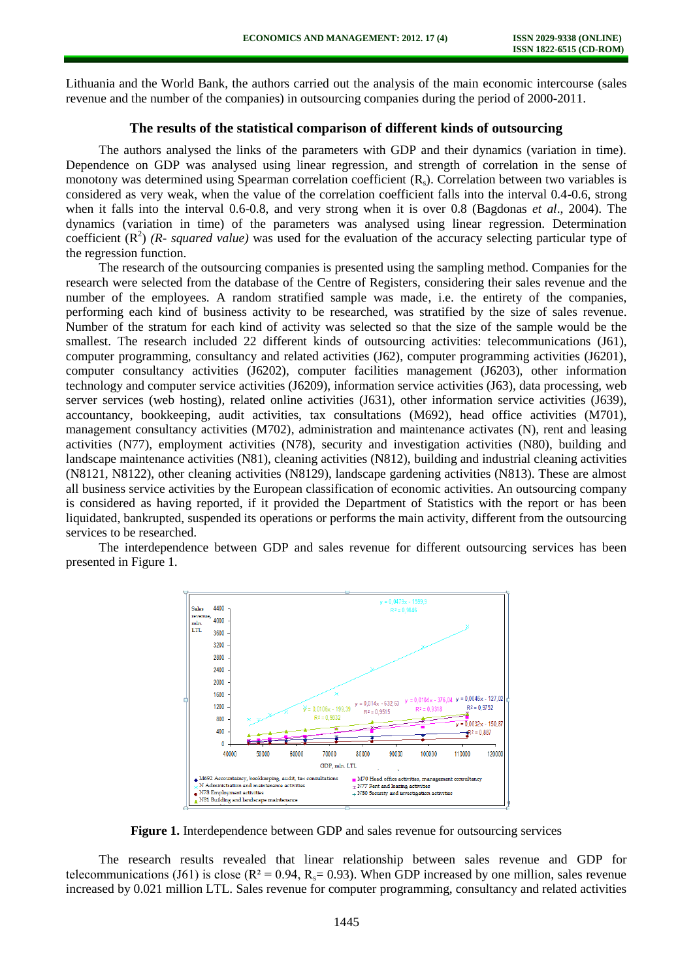Lithuania and the World Bank, the authors carried out the analysis of the main economic intercourse (sales revenue and the number of the companies) in outsourcing companies during the period of 2000-2011.

## **The results of the statistical comparison of different kinds of outsourcing**

The authors analysed the links of the parameters with GDP and their dynamics (variation in time). Dependence on GDP was analysed using linear regression, and strength of correlation in the sense of monotony was determined using Spearman correlation coefficient  $(R_s)$ . Correlation between two variables is considered as very weak, when the value of the correlation coefficient falls into the interval 0.4-0.6, strong when it falls into the interval 0.6-0.8, and very strong when it is over 0.8 (Bagdonas *et al*., 2004). The dynamics (variation in time) of the parameters was analysed using linear regression. Determination coefficient  $(R^2)$  (*R- squared value*) was used for the evaluation of the accuracy selecting particular type of the regression function.

The research of the outsourcing companies is presented using the sampling method. Companies for the research were selected from the database of the Centre of Registers, considering their sales revenue and the number of the employees. A random stratified sample was made, i.e. the entirety of the companies, performing each kind of business activity to be researched, was stratified by the size of sales revenue. Number of the stratum for each kind of activity was selected so that the size of the sample would be the smallest. The research included 22 different kinds of outsourcing activities: telecommunications (J61), computer programming, consultancy and related activities (J62), computer programming activities (J6201), computer consultancy activities (J6202), computer facilities management (J6203), other information technology and computer service activities (J6209), information service activities (J63), data processing, web server services (web hosting), related online activities (J631), other information service activities (J639), accountancy, bookkeeping, audit activities, tax consultations (M692), head office activities (M701), management consultancy activities (M702), administration and maintenance activates (N), rent and leasing activities (N77), employment activities (N78), security and investigation activities (N80), building and landscape maintenance activities (N81), cleaning activities (N812), building and industrial cleaning activities (N8121, N8122), other cleaning activities (N8129), landscape gardening activities (N813). These are almost all business service activities by the European classification of economic activities. An outsourcing company is considered as having reported, if it provided the Department of Statistics with the report or has been liquidated, bankrupted, suspended its operations or performs the main activity, different from the outsourcing services to be researched.

The interdependence between GDP and sales revenue for different outsourcing services has been presented in Figure 1.



**Figure 1.** Interdependence between GDP and sales revenue for outsourcing services

The research results revealed that linear relationship between sales revenue and GDP for telecommunications (J61) is close ( $R^2 = 0.94$ ,  $R_s = 0.93$ ). When GDP increased by one million, sales revenue increased by 0.021 million LTL. Sales revenue for computer programming, consultancy and related activities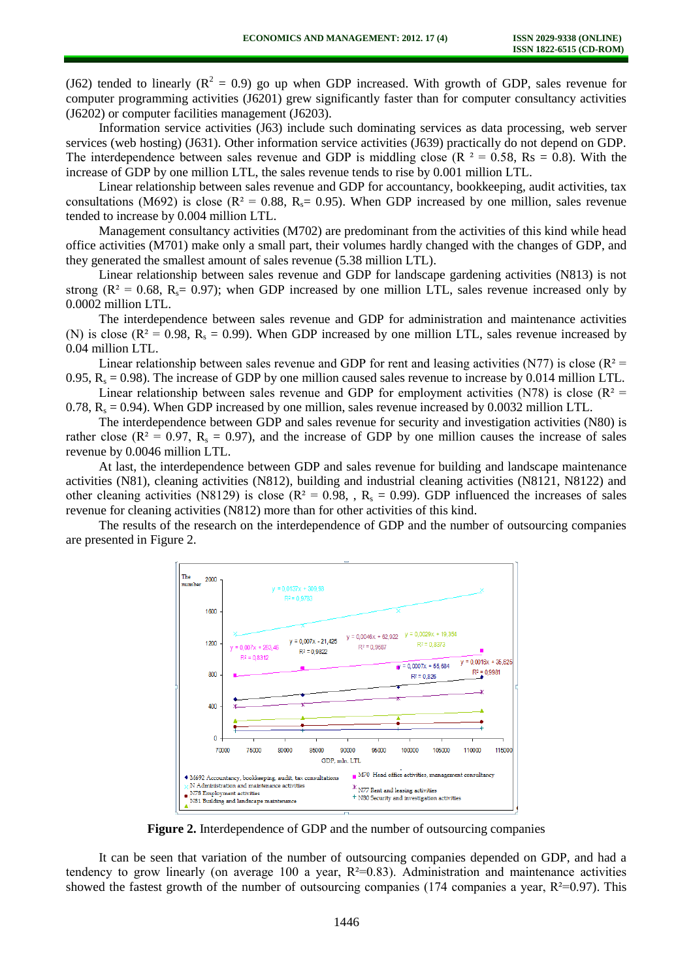(J62) tended to linearly ( $R^2 = 0.9$ ) go up when GDP increased. With growth of GDP, sales revenue for computer programming activities (J6201) grew significantly faster than for computer consultancy activities (J6202) or computer facilities management (J6203).

Information service activities (J63) include such dominating services as data processing, web server services (web hosting) (J631). Other information service activities (J639) practically do not depend on GDP. The interdependence between sales revenue and GDP is middling close ( $R^2 = 0.58$ ,  $Rs = 0.8$ ). With the increase of GDP by one million LTL, the sales revenue tends to rise by 0.001 million LTL.

Linear relationship between sales revenue and GDP for accountancy, bookkeeping, audit activities, tax consultations (M692) is close ( $R^2 = 0.88$ ,  $R_s = 0.95$ ). When GDP increased by one million, sales revenue tended to increase by 0.004 million LTL.

Management consultancy activities (M702) are predominant from the activities of this kind while head office activities (M701) make only a small part, their volumes hardly changed with the changes of GDP, and they generated the smallest amount of sales revenue (5.38 million LTL).

Linear relationship between sales revenue and GDP for landscape gardening activities (N813) is not strong ( $R^2 = 0.68$ ,  $R = 0.97$ ); when GDP increased by one million LTL, sales revenue increased only by 0.0002 million LTL.

The interdependence between sales revenue and GDP for administration and maintenance activities (N) is close ( $R^2 = 0.98$ ,  $R_s = 0.99$ ). When GDP increased by one million LTL, sales revenue increased by 0.04 million LTL.

Linear relationship between sales revenue and GDP for rent and leasing activities (N77) is close ( $R^2$  = 0.95,  $R_s = 0.98$ ). The increase of GDP by one million caused sales revenue to increase by 0.014 million LTL.

Linear relationship between sales revenue and GDP for employment activities (N78) is close ( $R^2$  = 0.78,  $R_s = 0.94$ ). When GDP increased by one million, sales revenue increased by 0.0032 million LTL.

The interdependence between GDP and sales revenue for security and investigation activities (N80) is rather close ( $R^2 = 0.97$ ,  $R_s = 0.97$ ), and the increase of GDP by one million causes the increase of sales revenue by 0.0046 million LTL.

At last, the interdependence between GDP and sales revenue for building and landscape maintenance activities (N81), cleaning activities (N812), building and industrial cleaning activities (N8121, N8122) and other cleaning activities (N8129) is close ( $R^2 = 0.98$ , ,  $R_s = 0.99$ ). GDP influenced the increases of sales revenue for cleaning activities (N812) more than for other activities of this kind.

The results of the research on the interdependence of GDP and the number of outsourcing companies are presented in Figure 2.



**Figure 2.** Interdependence of GDP and the number of outsourcing companies

It can be seen that variation of the number of outsourcing companies depended on GDP, and had a tendency to grow linearly (on average 100 a year,  $R^2=0.83$ ). Administration and maintenance activities showed the fastest growth of the number of outsourcing companies (174 companies a year,  $R^2=0.97$ ). This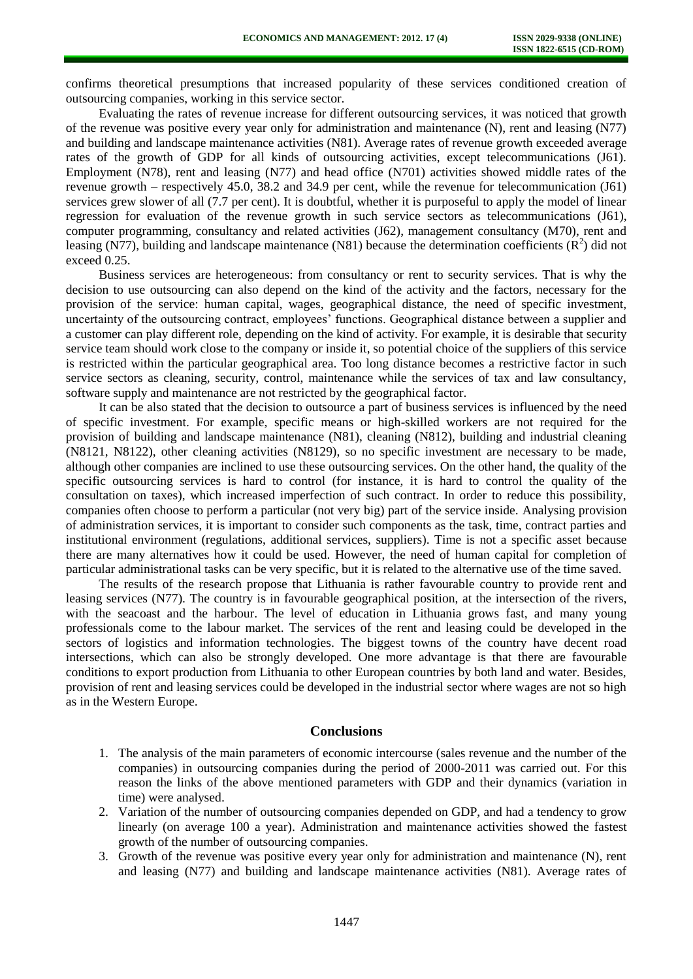confirms theoretical presumptions that increased popularity of these services conditioned creation of outsourcing companies, working in this service sector.

Evaluating the rates of revenue increase for different outsourcing services, it was noticed that growth of the revenue was positive every year only for administration and maintenance (N), rent and leasing (N77) and building and landscape maintenance activities (N81). Average rates of revenue growth exceeded average rates of the growth of GDP for all kinds of outsourcing activities, except telecommunications (J61). Employment (N78), rent and leasing (N77) and head office (N701) activities showed middle rates of the revenue growth – respectively 45.0, 38.2 and 34.9 per cent, while the revenue for telecommunication (J61) services grew slower of all (7.7 per cent). It is doubtful, whether it is purposeful to apply the model of linear regression for evaluation of the revenue growth in such service sectors as telecommunications (J61), computer programming, consultancy and related activities (J62), management consultancy (M70), rent and leasing (N77), building and landscape maintenance (N81) because the determination coefficients  $(R^2)$  did not exceed 0.25.

Business services are heterogeneous: from consultancy or rent to security services. That is why the decision to use outsourcing can also depend on the kind of the activity and the factors, necessary for the provision of the service: human capital, wages, geographical distance, the need of specific investment, uncertainty of the outsourcing contract, employees' functions. Geographical distance between a supplier and a customer can play different role, depending on the kind of activity. For example, it is desirable that security service team should work close to the company or inside it, so potential choice of the suppliers of this service is restricted within the particular geographical area. Too long distance becomes a restrictive factor in such service sectors as cleaning, security, control, maintenance while the services of tax and law consultancy, software supply and maintenance are not restricted by the geographical factor.

It can be also stated that the decision to outsource a part of business services is influenced by the need of specific investment. For example, specific means or high-skilled workers are not required for the provision of building and landscape maintenance (N81), cleaning (N812), building and industrial cleaning (N8121, N8122), other cleaning activities (N8129), so no specific investment are necessary to be made, although other companies are inclined to use these outsourcing services. On the other hand, the quality of the specific outsourcing services is hard to control (for instance, it is hard to control the quality of the consultation on taxes), which increased imperfection of such contract. In order to reduce this possibility, companies often choose to perform a particular (not very big) part of the service inside. Analysing provision of administration services, it is important to consider such components as the task, time, contract parties and institutional environment (regulations, additional services, suppliers). Time is not a specific asset because there are many alternatives how it could be used. However, the need of human capital for completion of particular administrational tasks can be very specific, but it is related to the alternative use of the time saved.

The results of the research propose that Lithuania is rather favourable country to provide rent and leasing services (N77). The country is in favourable geographical position, at the intersection of the rivers, with the seacoast and the harbour. The level of education in Lithuania grows fast, and many young professionals come to the labour market. The services of the rent and leasing could be developed in the sectors of logistics and information technologies. The biggest towns of the country have decent road intersections, which can also be strongly developed. One more advantage is that there are favourable conditions to export production from Lithuania to other European countries by both land and water. Besides, provision of rent and leasing services could be developed in the industrial sector where wages are not so high as in the Western Europe.

#### **Conclusions**

- 1. The analysis of the main parameters of economic intercourse (sales revenue and the number of the companies) in outsourcing companies during the period of 2000-2011 was carried out. For this reason the links of the above mentioned parameters with GDP and their dynamics (variation in time) were analysed.
- 2. Variation of the number of outsourcing companies depended on GDP, and had a tendency to grow linearly (on average 100 a year). Administration and maintenance activities showed the fastest growth of the number of outsourcing companies.
- 3. Growth of the revenue was positive every year only for administration and maintenance (N), rent and leasing (N77) and building and landscape maintenance activities (N81). Average rates of